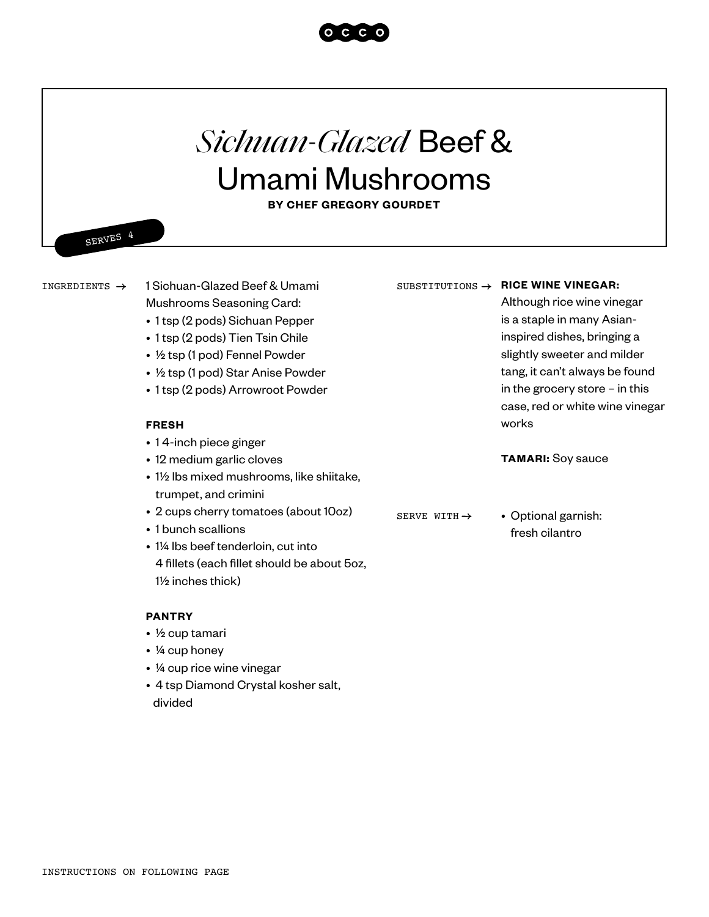

## *Sichuan-Glazed* Beef & Umami Mushrooms

**BY CHEF GREGORY GOURDET**

SERVES 4

INGREDIENTS  $\rightarrow$ 

1 Sichuan-Glazed Beef & Umami Mushrooms Seasoning Card:

- 1 tsp (2 pods) Sichuan Pepper
- 1 tsp (2 pods) Tien Tsin Chile
- ½ tsp (1 pod) Fennel Powder
- ½ tsp (1 pod) Star Anise Powder
- 1 tsp (2 pods) Arrowroot Powder

## **FRESH**

- 1 4-inch piece ginger
- 12 medium garlic cloves
- 1½ lbs mixed mushrooms, like shiitake, trumpet, and crimini
- 2 cups cherry tomatoes (about 10oz)
- 1 bunch scallions
- 1¼ lbs beef tenderloin, cut into 4 fillets (each fillet should be about 5oz, 1½ inches thick)

## **PANTRY**

- ½ cup tamari
- ¼ cup honey
- ¼ cup rice wine vinegar
- 4 tsp Diamond Crystal kosher salt, divided

## SUBSTITUTIONS  $\rightarrow$  RICE WINE VINEGAR:

Although rice wine vinegar is a staple in many Asianinspired dishes, bringing a slightly sweeter and milder tang, it can't always be found in the grocery store – in this case, red or white wine vinegar works

**TAMARI:** Soy sauce

SERVE WITH  $\rightarrow$ 

• Optional garnish: fresh cilantro